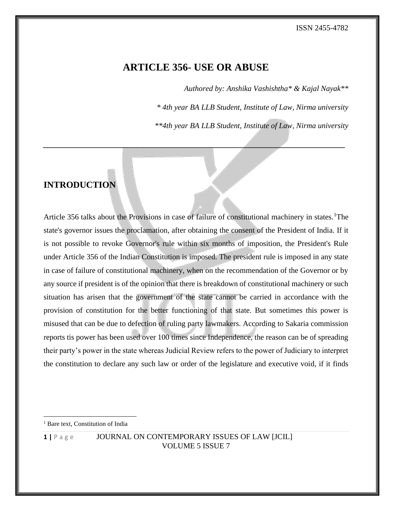# **ARTICLE 356- USE OR ABUSE**

*\_\_\_\_\_\_\_\_\_\_\_\_\_\_\_\_\_\_\_\_\_\_\_\_\_\_\_\_\_\_\_\_\_\_\_\_\_\_\_\_\_\_\_\_\_\_\_\_\_\_\_\_\_\_\_\_\_\_\_\_\_\_\_\_\_\_\_\_\_\_\_\_\_\_\_\_\_\_*

*Authored by: Anshika Vashishtha\* & Kajal Nayak\*\**

*\* 4th year BA LLB Student, Institute of Law, Nirma university*

*\*\*4th year BA LLB Student, Institute of Law, Nirma university*

# **INTRODUCTION**

Article 356 talks about the Provisions in case of failure of constitutional machinery in states.<sup>1</sup>The state's governor issues the proclamation, after obtaining the consent of the President of India. If it is not possible to revoke Governor's rule within six months of imposition, the President's Rule under Article 356 of the Indian Constitution is imposed. The president rule is imposed in any state in case of failure of constitutional machinery, when on the recommendation of the Governor or by any source if president is of the opinion that there is breakdown of constitutional machinery or such situation has arisen that the government of the state cannot be carried in accordance with the provision of constitution for the better functioning of that state. But sometimes this power is misused that can be due to defection of ruling party lawmakers. According to Sakaria commission reports tis power has been used over 100 times since Independence, the reason can be of spreading their party's power in the state whereas Judicial Review refers to the power of Judiciary to interpret the constitution to declare any such law or order of the legislature and executive void, if it finds

<sup>&</sup>lt;sup>1</sup> Bare text, Constitution of India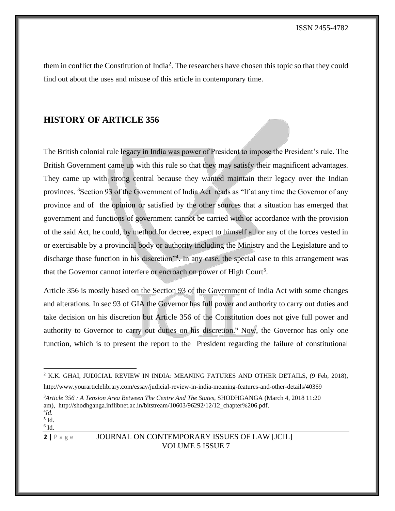them in conflict the Constitution of India<sup>2</sup>. The researchers have chosen this topic so that they could find out about the uses and misuse of this article in contemporary time.

# **HISTORY OF ARTICLE 356**

The British colonial rule legacy in India was power of President to impose the President's rule. The British Government came up with this rule so that they may satisfy their magnificent advantages. They came up with strong central because they wanted maintain their legacy over the Indian provinces. <sup>3</sup>Section 93 of the Government of India Act reads as "If at any time the Governor of any province and of the opinion or satisfied by the other sources that a situation has emerged that government and functions of government cannot be carried with or accordance with the provision of the said Act, he could, by method for decree, expect to himself all or any of the forces vested in or exercisable by a provincial body or authority including the Ministry and the Legislature and to discharge those function in his discretion<sup>34</sup>. In any case, the special case to this arrangement was that the Governor cannot interfere or encroach on power of High Court<sup>5</sup>.

Article 356 is mostly based on the Section 93 of the Government of India Act with some changes and alterations. In sec 93 of GIA the Governor has full power and authority to carry out duties and take decision on his discretion but Article 356 of the Constitution does not give full power and authority to Governor to carry out duties on his discretion.<sup>6</sup> Now, the Governor has only one function, which is to present the report to the President regarding the failure of constitutional

<sup>3</sup>*Article 356 : A Tension Area Between The Centre And The States*, SHODHGANGA (March 4, 2018 11:20 am), [http://shodhganga.inflibnet.ac.in/bitstream/10603/96292/12/12\\_chapter%206.pdf.](http://shodhganga.inflibnet.ac.in/bitstream/10603/96292/12/12_chapter%206.pdf)

 $2$  K.K. GHAI, JUDICIAL REVIEW IN INDIA: MEANING FATURES AND OTHER DETAILS, (9 Feb, 2018),

http://www.yourarticlelibrary.com/essay/judicial-review-in-india-meaning-features-and-other-details/40369

<sup>4</sup> *Id.*  $<sup>5</sup>$  Id.</sup>

 $6$  Id.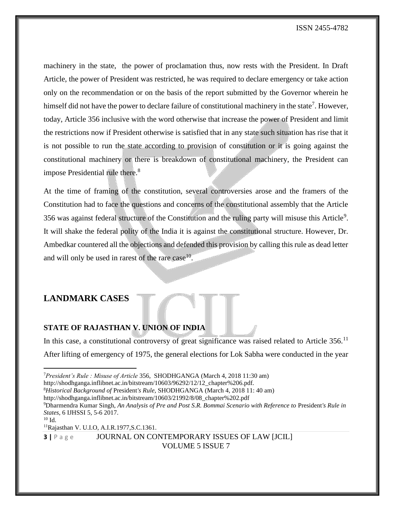ISSN 2455-4782

machinery in the state, the power of proclamation thus, now rests with the President. In Draft Article, the power of President was restricted, he was required to declare emergency or take action only on the recommendation or on the basis of the report submitted by the Governor wherein he himself did not have the power to declare failure of constitutional machinery in the state<sup>7</sup>. However, today, Article 356 inclusive with the word otherwise that increase the power of President and limit the restrictions now if President otherwise is satisfied that in any state such situation has rise that it is not possible to run the state according to provision of constitution or it is going against the constitutional machinery or there is breakdown of constitutional machinery, the President can impose Presidential rule there.<sup>8</sup>

At the time of framing of the constitution, several controversies arose and the framers of the Constitution had to face the questions and concerns of the constitutional assembly that the Article 356 was against federal structure of the Constitution and the ruling party will misuse this Article<sup>9</sup>. It will shake the federal polity of the India it is against the constitutional structure. However, Dr. Ambedkar countered all the objections and defended this provision by calling this rule as dead letter and will only be used in rarest of the rare case  $10$ .

# **LANDMARK CASES**

#### **STATE OF RAJASTHAN V. UNION OF INDIA**

In this case, a constitutional controversy of great significance was raised related to Article  $356$ .<sup>11</sup> After lifting of emergency of 1975, the general elections for Lok Sabha were conducted in the year

http://shodhganga.inflibnet.ac.in/bitstream/10603/96292/12/12\_chapter%206.pdf.

<sup>7</sup>*President's Rule : Misuse of Article* 356, SHODHGANGA (March 4, 2018 11:30 am)

<sup>8</sup>*Historical Background of* President*'s Rule,* SHODHGANGA (March 4, 2018 11: 40 am)

http://shodhganga.inflibnet.ac.in/bitstream/10603/21992/8/08\_chapter%202.pdf

<sup>9</sup>Dharmendra Kumar Singh, *An Analysis of Pre and Post S.R. Bommai Scenario with Reference to* President*'s Rule in States*, 6 IJHSSI 5, 5-6 2017.

<sup>10</sup> Id.

<sup>11</sup>Rajasthan V. U.I.O, A.I.R.1977,S.C.1361.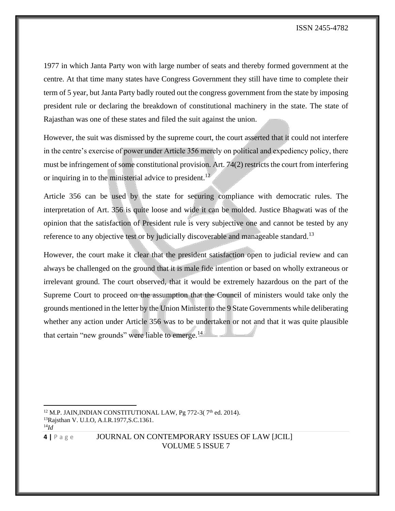1977 in which Janta Party won with large number of seats and thereby formed government at the centre. At that time many states have Congress Government they still have time to complete their term of 5 year, but Janta Party badly routed out the congress government from the state by imposing president rule or declaring the breakdown of constitutional machinery in the state. The state of Rajasthan was one of these states and filed the suit against the union.

However, the suit was dismissed by the supreme court, the court asserted that it could not interfere in the centre's exercise of power under Article 356 merely on political and expediency policy, there must be infringement of some constitutional provision. Art. 74(2) restricts the court from interfering or inquiring in to the ministerial advice to president.<sup>12</sup>

Article 356 can be used by the state for securing compliance with democratic rules. The interpretation of Art. 356 is quite loose and wide it can be molded. Justice Bhagwati was of the opinion that the satisfaction of President rule is very subjective one and cannot be tested by any reference to any objective test or by judicially discoverable and manageable standard.<sup>13</sup>

However, the court make it clear that the president satisfaction open to judicial review and can always be challenged on the ground that it is male fide intention or based on wholly extraneous or irrelevant ground. The court observed, that it would be extremely hazardous on the part of the Supreme Court to proceed on the assumption that the Council of ministers would take only the grounds mentioned in the letter by the Union Minister to the 9 State Governments while deliberating whether any action under Article 356 was to be undertaken or not and that it was quite plausible that certain "new grounds" were liable to emerge.<sup>14</sup>

14*Id*

 $12$  M.P. JAIN, INDIAN CONSTITUTIONAL LAW, Pg 772-3( $7<sup>th</sup>$  ed. 2014). <sup>13</sup>Rajsthan V. U.I.O, A.I.R.1977,S.C.1361.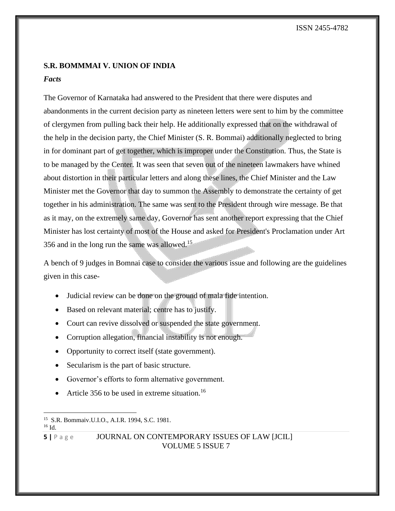# **S.R. BOMMMAI V. UNION OF INDIA**

### *Facts*

The Governor of Karnataka had answered to the President that there were disputes and abandonments in the current decision party as nineteen letters were sent to him by the committee of clergymen from pulling back their help. He additionally expressed that on the withdrawal of the help in the decision party, the Chief Minister (S. R. Bommai) additionally neglected to bring in for dominant part of get together, which is improper under the Constitution. Thus, the State is to be managed by the Center. It was seen that seven out of the nineteen lawmakers have whined about distortion in their particular letters and along these lines, the Chief Minister and the Law Minister met the Governor that day to summon the Assembly to demonstrate the certainty of get together in his administration. The same was sent to the President through wire message. Be that as it may, on the extremely same day, Governor has sent another report expressing that the Chief Minister has lost certainty of most of the House and asked for President's Proclamation under Art 356 and in the long run the same was allowed.<sup>15</sup>

A bench of 9 judges in Bomnai case to consider the various issue and following are the guidelines given in this case-

- Judicial review can be done on the ground of mala fide intention.
- Based on relevant material; centre has to justify.
- Court can revive dissolved or suspended the state government.
- Corruption allegation, financial instability is not enough.
- Opportunity to correct itself (state government).
- Secularism is the part of basic structure.
- Governor's efforts to form alternative government.
- Article 356 to be used in extreme situation.<sup>16</sup>

<sup>15</sup> S.R. Bommaiv.U.I.O., A.I.R. 1994, S.C. 1981.

 $16$  Id.

**<sup>5</sup>** | P a g e **JOURNAL ON CONTEMPORARY ISSUES OF LAW [JCIL]** VOLUME 5 ISSUE 7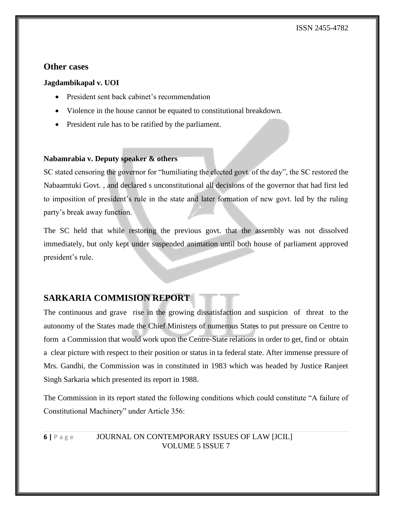# **Other cases**

#### **Jagdambikapal v. UOI**

- President sent back cabinet's recommendation
- Violence in the house cannot be equated to constitutional breakdown.
- President rule has to be ratified by the parliament.

#### **Nabamrabia v. Deputy speaker & others**

SC stated censoring the governor for "humiliating the elected govt. of the day", the SC restored the Nabaamtuki Govt. , and declared s unconstitutional all decisions of the governor that had first led to imposition of president's rule in the state and later formation of new govt. led by the ruling party's break away function.

The SC held that while restoring the previous govt. that the assembly was not dissolved immediately, but only kept under suspended animation until both house of parliament approved president's rule.

# **SARKARIA COMMISION REPORT**

The continuous and grave rise in the growing dissatisfaction and suspicion of threat to the autonomy of the States made the Chief Ministers of numerous States to put pressure on Centre to form a Commission that would work upon the Centre-State relations in order to get, find or obtain a clear picture with respect to their position or status in ta federal state. After immense pressure of Mrs. Gandhi, the Commission was in constituted in 1983 which was headed by Justice Ranjeet Singh Sarkaria which presented its report in 1988.

The Commission in its report stated the following conditions which could constitute "A failure of Constitutional Machinery" under Article 356: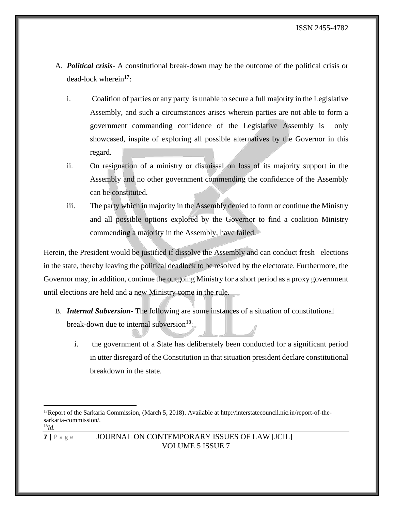- A. *Political crisis* A constitutional break-down may be the outcome of the political crisis or dead-lock wherein $17$ :
	- i. Coalition of parties or any party is unable to secure a full majority in the Legislative Assembly, and such a circumstances arises wherein parties are not able to form a government commanding confidence of the Legislative Assembly is only showcased, inspite of exploring all possible alternatives by the Governor in this regard.
	- ii. On resignation of a ministry or dismissal on loss of its majority support in the Assembly and no other government commending the confidence of the Assembly can be constituted.
	- iii. The party which in majority in the Assembly denied to form or continue the Ministry and all possible options explored by the Governor to find a coalition Ministry commending a majority in the Assembly, have failed.

Herein, the President would be justified if dissolve the Assembly and can conduct fresh elections in the state, thereby leaving the political deadlock to be resolved by the electorate. Furthermore, the Governor may, in addition, continue the outgoing Ministry for a short period as a proxy government until elections are held and a new Ministry come in the rule.

- B. *Internal Subversion* The following are some instances of a situation of constitutional break-down due to internal subversion<sup>18</sup>:
	- i. the government of a State has deliberately been conducted for a significant period in utter disregard of the Constitution in that situation president declare constitutional breakdown in the state.

 $17$ Report of the Sarkaria Commission, (March 5, 2018). Available at http://interstatecouncil.nic.in/report-of-thesarkaria-commission/. 18*Id.*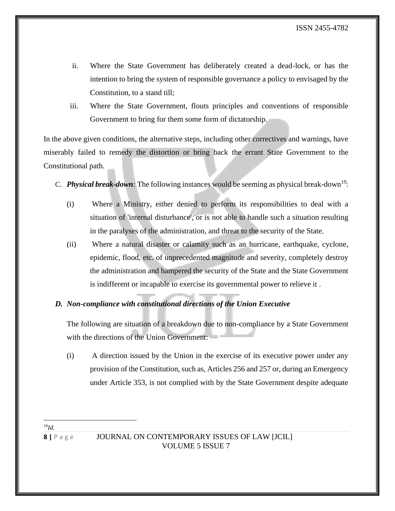- ii. Where the State Government has deliberately created a dead-lock, or has the intention to bring the system of responsible governance a policy to envisaged by the Constitution, to a stand till;
- iii. Where the State Government, flouts principles and conventions of responsible Government to bring for them some form of dictatorship.

In the above given conditions, the alternative steps, including other correctives and warnings, have miserably failed to remedy the distortion or bring back the errant State Government to the Constitutional path.

- C. **Physical break-down**: The following instances would be seeming as physical break-down<sup>19</sup>:
	- (i) Where a Ministry, either denied to perform its responsibilities to deal with a situation of 'internal disturbance', or is not able to handle such a situation resulting in the paralyses of the administration, and threat to the security of the State.
	- (ii) Where a natural disaster or calamity such as an hurricane, earthquake, cyclone, epidemic, flood, etc. of unprecedented magnitude and severity, completely destroy the administration and hampered the security of the State and the State Government is indifferent or incapable to exercise its governmental power to relieve it .

#### *D. Non-compliance with constitutional directions of the Union Executive*

The following are situation of a breakdown due to non-compliance by a State Government with the directions of the Union Government: —

(i) A direction issued by the Union in the exercise of its executive power under any provision of the Constitution, such as, Articles 256 and 257 or, during an Emergency under Article 353, is not complied with by the State Government despite adequate

<sup>19</sup>*Id.*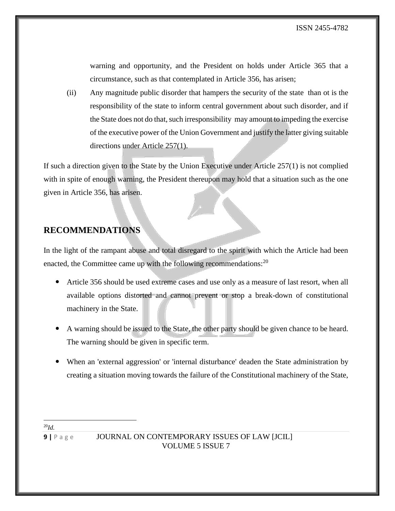warning and opportunity, and the President on holds under Article 365 that a circumstance, such as that contemplated in Article 356, has arisen;

(ii) Any magnitude public disorder that hampers the security of the state than ot is the responsibility of the state to inform central government about such disorder, and if the State does not do that, such irresponsibility may amount to impeding the exercise of the executive power of the Union Government and justify the latter giving suitable directions under Article 257(1).

If such a direction given to the State by the Union Executive under Article 257(1) is not complied with in spite of enough warning, the President thereupon may hold that a situation such as the one given in Article 356, has arisen.

# **RECOMMENDATIONS**

In the light of the rampant abuse and total disregard to the spirit with which the Article had been enacted, the Committee came up with the following recommendations:  $2^0$ 

- Article 356 should be used extreme cases and use only as a measure of last resort, when all available options distorted and cannot prevent or stop a break-down of constitutional machinery in the State.
- A warning should be issued to the State, the other party should be given chance to be heard. The warning should be given in specific term.
- When an 'external aggression' or 'internal disturbance' deaden the State administration by creating a situation moving towards the failure of the Constitutional machinery of the State,

<sup>20</sup>*Id.*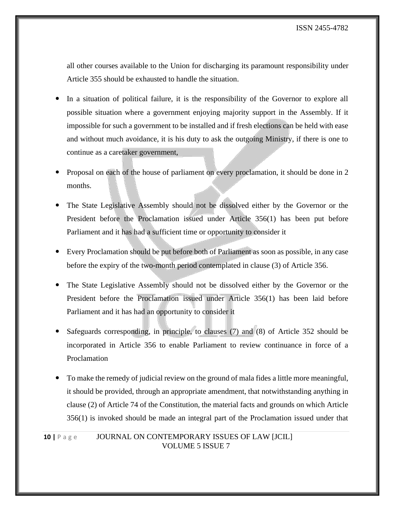all other courses available to the Union for discharging its paramount responsibility under Article 355 should be exhausted to handle the situation.

- In a situation of political failure, it is the responsibility of the Governor to explore all possible situation where a government enjoying majority support in the Assembly. If it impossible for such a government to be installed and if fresh elections can be held with ease and without much avoidance, it is his duty to ask the outgoing Ministry, if there is one to continue as a caretaker government,
- Proposal on each of the house of parliament on every proclamation, it should be done in 2 months.
- The State Legislative Assembly should not be dissolved either by the Governor or the President before the Proclamation issued under Article 356(1) has been put before Parliament and it has had a sufficient time or opportunity to consider it
- Every Proclamation should be put before both of Parliament as soon as possible, in any case before the expiry of the two-month period contemplated in clause (3) of Article 356.
- The State Legislative Assembly should not be dissolved either by the Governor or the President before the Proclamation issued under Article 356(1) has been laid before Parliament and it has had an opportunity to consider it
- Safeguards corresponding, in principle, to clauses (7) and (8) of Article 352 should be incorporated in Article 356 to enable Parliament to review continuance in force of a Proclamation
- To make the remedy of judicial review on the ground of mala fides a little more meaningful, it should be provided, through an appropriate amendment, that notwithstanding anything in clause (2) of Article 74 of the Constitution, the material facts and grounds on which Article 356(1) is invoked should be made an integral part of the Proclamation issued under that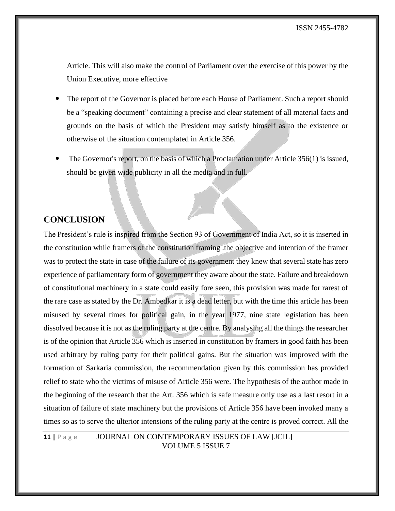Article. This will also make the control of Parliament over the exercise of this power by the Union Executive, more effective

- The report of the Governor is placed before each House of Parliament. Such a report should be a "speaking document" containing a precise and clear statement of all material facts and grounds on the basis of which the President may satisfy himself as to the existence or otherwise of the situation contemplated in Article 356.
- The Governor's report, on the basis of which a Proclamation under Article 356(1) is issued, should be given wide publicity in all the media and in full.

# **CONCLUSION**

The President's rule is inspired from the Section 93 of Government of India Act, so it is inserted in the constitution while framers of the constitution framing .the objective and intention of the framer was to protect the state in case of the failure of its government they knew that several state has zero experience of parliamentary form of government they aware about the state. Failure and breakdown of constitutional machinery in a state could easily fore seen, this provision was made for rarest of the rare case as stated by the Dr. Ambedkar it is a dead letter, but with the time this article has been misused by several times for political gain, in the year 1977, nine state legislation has been dissolved because it is not as the ruling party at the centre. By analysing all the things the researcher is of the opinion that Article 356 which is inserted in constitution by framers in good faith has been used arbitrary by ruling party for their political gains. But the situation was improved with the formation of Sarkaria commission, the recommendation given by this commission has provided relief to state who the victims of misuse of Article 356 were. The hypothesis of the author made in the beginning of the research that the Art. 356 which is safe measure only use as a last resort in a situation of failure of state machinery but the provisions of Article 356 have been invoked many a times so as to serve the ulterior intensions of the ruling party at the centre is proved correct. All the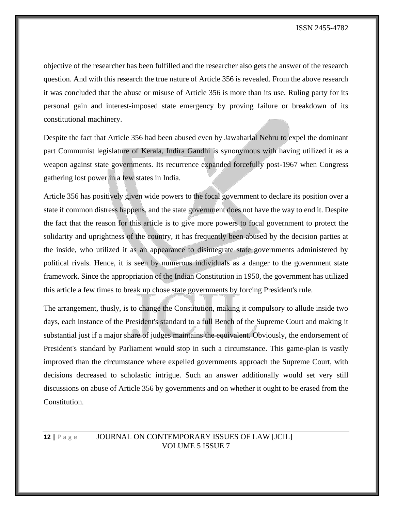objective of the researcher has been fulfilled and the researcher also gets the answer of the research question. And with this research the true nature of Article 356 is revealed. From the above research it was concluded that the abuse or misuse of Article 356 is more than its use. Ruling party for its personal gain and interest-imposed state emergency by proving failure or breakdown of its constitutional machinery.

Despite the fact that Article 356 had been abused even by Jawaharlal Nehru to expel the dominant part Communist legislature of Kerala, Indira Gandhi is synonymous with having utilized it as a weapon against state governments. Its recurrence expanded forcefully post-1967 when Congress gathering lost power in a few states in India.

Article 356 has positively given wide powers to the focal government to declare its position over a state if common distress happens, and the state government does not have the way to end it. Despite the fact that the reason for this article is to give more powers to focal government to protect the solidarity and uprightness of the country, it has frequently been abused by the decision parties at the inside, who utilized it as an appearance to disintegrate state governments administered by political rivals. Hence, it is seen by numerous individuals as a danger to the government state framework. Since the appropriation of the Indian Constitution in 1950, the government has utilized this article a few times to break up chose state governments by forcing President's rule.

The arrangement, thusly, is to change the Constitution, making it compulsory to allude inside two days, each instance of the President's standard to a full Bench of the Supreme Court and making it substantial just if a major share of judges maintains the equivalent. Obviously, the endorsement of President's standard by Parliament would stop in such a circumstance. This game-plan is vastly improved than the circumstance where expelled governments approach the Supreme Court, with decisions decreased to scholastic intrigue. Such an answer additionally would set very still discussions on abuse of Article 356 by governments and on whether it ought to be erased from the Constitution.